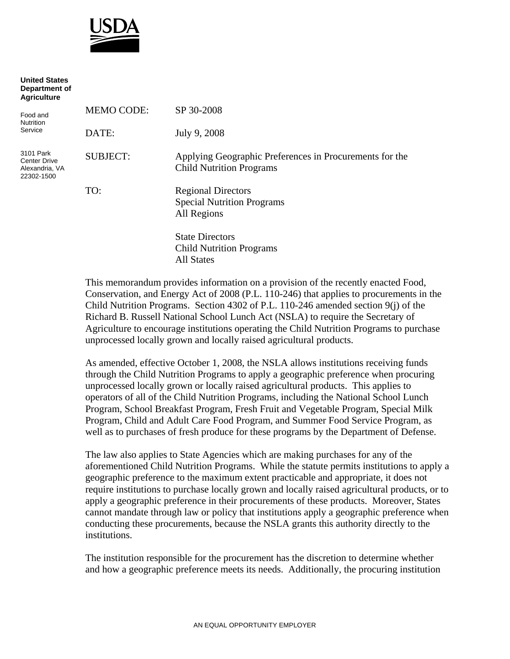

**United States** 

| Department of<br><b>Agriculture</b>                              |                   |                                                                                            |
|------------------------------------------------------------------|-------------------|--------------------------------------------------------------------------------------------|
| Food and<br>Nutrition<br>Service                                 | <b>MEMO CODE:</b> | SP 30-2008                                                                                 |
|                                                                  | DATE:             | July 9, 2008                                                                               |
| 3101 Park<br><b>Center Drive</b><br>Alexandria, VA<br>22302-1500 | <b>SUBJECT:</b>   | Applying Geographic Preferences in Procurements for the<br><b>Child Nutrition Programs</b> |
|                                                                  | TO:               | <b>Regional Directors</b>                                                                  |
|                                                                  |                   | <b>Special Nutrition Programs</b><br>All Regions                                           |
|                                                                  |                   |                                                                                            |
|                                                                  |                   | <b>State Directors</b>                                                                     |
|                                                                  |                   | <b>Child Nutrition Programs</b>                                                            |
|                                                                  |                   | <b>All States</b>                                                                          |

This memorandum provides information on a provision of the recently enacted Food, Conservation, and Energy Act of 2008 (P.L. 110-246) that applies to procurements in the Child Nutrition Programs. Section 4302 of P.L. 110-246 amended section 9(j) of the Richard B. Russell National School Lunch Act (NSLA) to require the Secretary of Agriculture to encourage institutions operating the Child Nutrition Programs to purchase unprocessed locally grown and locally raised agricultural products.

As amended, effective October 1, 2008, the NSLA allows institutions receiving funds through the Child Nutrition Programs to apply a geographic preference when procuring unprocessed locally grown or locally raised agricultural products. This applies to operators of all of the Child Nutrition Programs, including the National School Lunch Program, School Breakfast Program, Fresh Fruit and Vegetable Program, Special Milk Program, Child and Adult Care Food Program, and Summer Food Service Program, as well as to purchases of fresh produce for these programs by the Department of Defense.

The law also applies to State Agencies which are making purchases for any of the aforementioned Child Nutrition Programs. While the statute permits institutions to apply a geographic preference to the maximum extent practicable and appropriate, it does not require institutions to purchase locally grown and locally raised agricultural products, or to apply a geographic preference in their procurements of these products. Moreover, States cannot mandate through law or policy that institutions apply a geographic preference when conducting these procurements, because the NSLA grants this authority directly to the institutions.

The institution responsible for the procurement has the discretion to determine whether and how a geographic preference meets its needs. Additionally, the procuring institution